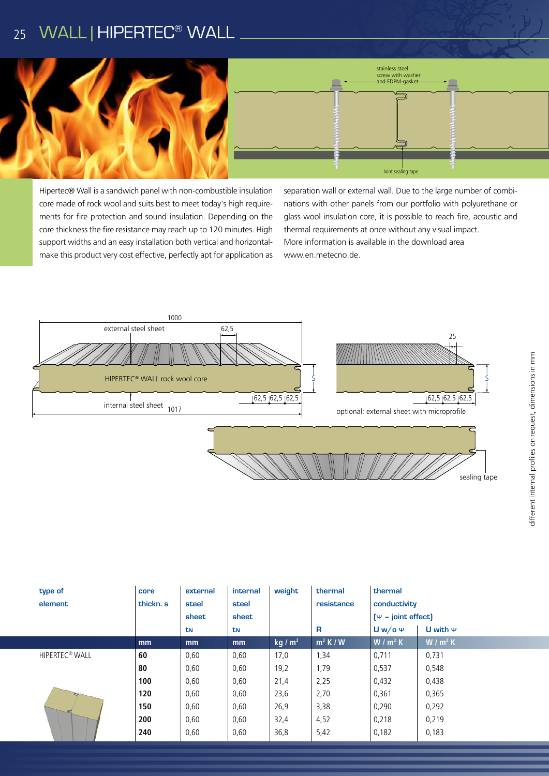## 25 WALL | HIPERTEC<sup>®</sup> WALL



Hipertec® Wall is a sandwich panel with non-combustible insulation core made of rock wool and suits best to meet today's high requirements for fire protection and sound insulation. Depending on the core thickness the fire resistance may reach up to 120 minutes. High support widths and an easy installation both vertical and horizontalmake this product very cost effective, perfectly apt for application as

separation wall or external wall. Due to the large number of combinations with other panels from our portfolio with polyurethane or glass wool insulation core, it is possible to reach fire, acoustic and thermal requirements at once without any visual impact. More information is available in the download area www.en.metecno.de.



|  | type of<br>element         | core<br>thickn. s | external<br>steel<br>sheet | internal<br>steel<br>sheet | weight    | thermal<br>resistance | thermal<br>conductivity<br>$[\Psi - \text{joint effect}]$ |               |
|--|----------------------------|-------------------|----------------------------|----------------------------|-----------|-----------------------|-----------------------------------------------------------|---------------|
|  |                            |                   | tN                         | tN                         |           | R                     | $Uw$ /o $\Psi$                                            | U with $\Psi$ |
|  |                            | mm                | mm                         | mm                         | kg / $m2$ | $m^2$ K / W           | $W/m^2 K$                                                 | $W/m^2 K$     |
|  | HIPERTEC <sup>®</sup> WALL | 60                | 0,60                       | 0,60                       | 17,0      | 1,34                  | 0,711                                                     | 0,731         |
|  |                            | 80                | 0,60                       | 0,60                       | 19,2      | 1,79                  | 0,537                                                     | 0,548         |
|  |                            | 100               | 0,60                       | 0,60                       | 21,4      | 2,25                  | 0,432                                                     | 0,438         |
|  |                            | 120               | 0,60                       | 0,60                       | 23,6      | 2,70                  | 0,361                                                     | 0,365         |
|  |                            | 150               | 0,60                       | 0,60                       | 26,9      | 3,38                  | 0,290                                                     | 0,292         |
|  |                            | 200               | 0,60                       | 0,60                       | 32,4      | 4,52                  | 0,218                                                     | 0,219         |
|  |                            | 240               | 0,60                       | 0,60                       | 36,8      | 5,42                  | 0,182                                                     | 0,183         |
|  |                            |                   |                            |                            |           |                       |                                                           |               |

sealing tape